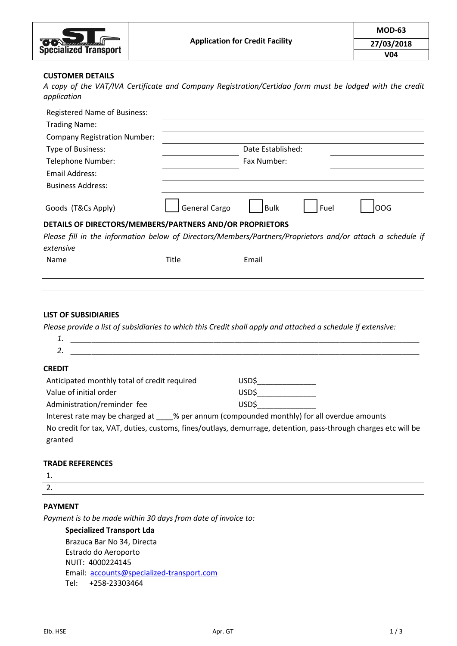| <b>DON</b> Account Contractor |
|-------------------------------|
| <b>Specialized Transport</b>  |

#### **CUSTOMER DETAILS**

*A copy of the VAT/IVA Certificate and Company Registration/Certidao form must be lodged with the credit application*

| <b>Registered Name of Business:</b>                                                                                     |                      |                   |      |            |
|-------------------------------------------------------------------------------------------------------------------------|----------------------|-------------------|------|------------|
| <b>Trading Name:</b>                                                                                                    |                      |                   |      |            |
| <b>Company Registration Number:</b>                                                                                     |                      |                   |      |            |
| Type of Business:                                                                                                       |                      | Date Established: |      |            |
| Telephone Number:                                                                                                       | Fax Number:          |                   |      |            |
| Email Address:                                                                                                          |                      |                   |      |            |
| <b>Business Address:</b>                                                                                                |                      |                   |      |            |
| Goods (T&Cs Apply)                                                                                                      | <b>General Cargo</b> | <b>Bulk</b>       | Fuel | <b>OOG</b> |
| DETAILS OF DIRECTORS/MEMBERS/PARTNERS AND/OR PROPRIETORS                                                                |                      |                   |      |            |
| Please fill in the information below of Directors/Members/Partners/Proprietors and/or attach a schedule if<br>extensive |                      |                   |      |            |
| Name                                                                                                                    | Title                | Email             |      |            |
|                                                                                                                         |                      |                   |      |            |

#### **LIST OF SUBSIDIARIES**

*Please provide a list of subsidiaries to which this Credit shall apply and attached a schedule if extensive:* 

| <b>CREDIT</b>                                                                            |                                                                                                                |
|------------------------------------------------------------------------------------------|----------------------------------------------------------------------------------------------------------------|
| Anticipated monthly total of credit required                                             | USD\$                                                                                                          |
| Value of initial order                                                                   | USD\$                                                                                                          |
| Administration/reminder fee                                                              | USD\$                                                                                                          |
| Interest rate may be charged at % per annum (compounded monthly) for all overdue amounts |                                                                                                                |
|                                                                                          | No credit for tax, VAT, duties, customs, fines/outlays, demurrage, detention, pass-through charges etc will be |
| granted                                                                                  |                                                                                                                |

#### **TRADE REFERENCES**

1.

2.

## **PAYMENT**

*Payment is to be made within 30 days from date of invoice to:*

**Specialized Transport Lda** Brazuca Bar No 34, Directa Estrado do Aeroporto NUIT: 4000224145 Email: [accounts@specialized-transport.com](mailto:accounts@specialized-transport.com) Tel: +258-23303464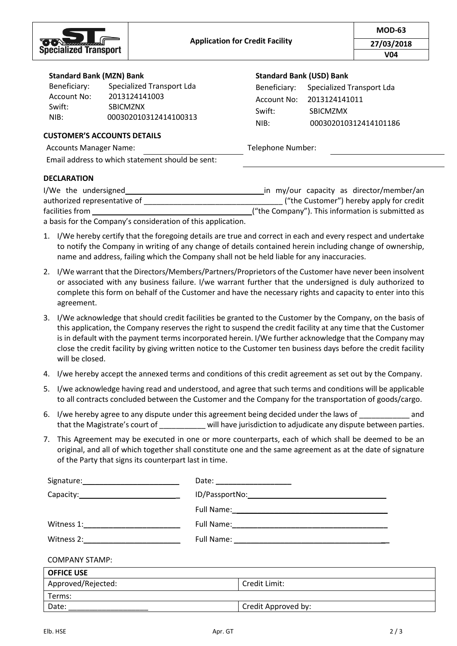

#### **Standard Bank (MZN) Bank**

| Specialized Transport Lda |
|---------------------------|
| 2013124141003             |
| <b>SBICMZNX</b>           |
| 000302010312414100313     |
|                           |

# **Standard Bank (USD) Bank**

| Beneficiary: | Specialized Transport Lda |
|--------------|---------------------------|
| Account No:  | 2013124141011             |
| Swift:       | <b>SBICMZMX</b>           |
| NIR:         | 000302010312414101186     |

#### **CUSTOMER'S ACCOUNTS DETAILS**

Accounts Manager Name: Telephone Number:

Email address to which statement should be sent:

## **DECLARATION**

| I/We the undersigned                                         | in my/our capacity as director/member/an          |
|--------------------------------------------------------------|---------------------------------------------------|
| authorized representative of                                 | ("the Customer") hereby apply for credit          |
| facilities from                                              | ("the Company"). This information is submitted as |
| a basis for the Company's consideration of this application. |                                                   |

- 1. I/We hereby certify that the foregoing details are true and correct in each and every respect and undertake to notify the Company in writing of any change of details contained herein including change of ownership, name and address, failing which the Company shall not be held liable for any inaccuracies.
- 2. I/We warrant that the Directors/Members/Partners/Proprietors of the Customer have never been insolvent or associated with any business failure. I/we warrant further that the undersigned is duly authorized to complete this form on behalf of the Customer and have the necessary rights and capacity to enter into this agreement.
- 3. I/We acknowledge that should credit facilities be granted to the Customer by the Company, on the basis of this application, the Company reserves the right to suspend the credit facility at any time that the Customer is in default with the payment terms incorporated herein. I/We further acknowledge that the Company may close the credit facility by giving written notice to the Customer ten business days before the credit facility will be closed.
- 4. I/we hereby accept the annexed terms and conditions of this credit agreement as set out by the Company.
- 5. I/we acknowledge having read and understood, and agree that such terms and conditions will be applicable to all contracts concluded between the Customer and the Company for the transportation of goods/cargo.
- 6. I/we hereby agree to any dispute under this agreement being decided under the laws of \_\_\_\_\_\_\_\_\_\_\_\_ and that the Magistrate's court of \_\_\_\_\_\_\_\_\_\_\_ will have jurisdiction to adjudicate any dispute between parties.
- 7. This Agreement may be executed in one or more counterparts, each of which shall be deemed to be an original, and all of which together shall constitute one and the same agreement as at the date of signature of the Party that signs its counterpart last in time.

|                                                                                                                                                                                                                                | Date: _______________________ |  |
|--------------------------------------------------------------------------------------------------------------------------------------------------------------------------------------------------------------------------------|-------------------------------|--|
|                                                                                                                                                                                                                                |                               |  |
|                                                                                                                                                                                                                                |                               |  |
|                                                                                                                                                                                                                                |                               |  |
| Witness 2: The contract of the contract of the contract of the contract of the contract of the contract of the contract of the contract of the contract of the contract of the contract of the contract of the contract of the |                               |  |
| <b>COMPANY STAMP:</b>                                                                                                                                                                                                          |                               |  |
| <b>OFFICE USE</b>                                                                                                                                                                                                              |                               |  |
| Approved/Rejected:                                                                                                                                                                                                             | Credit Limit:                 |  |
| Terms:                                                                                                                                                                                                                         |                               |  |
| Date:                                                                                                                                                                                                                          | Credit Approved by:           |  |